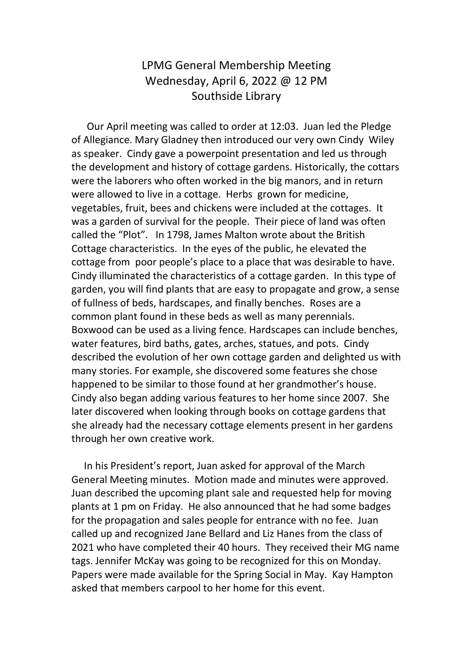## LPMG General Membership Meeting Wednesday, April 6, 2022 @ 12 PM Southside Library

 Our April meeting was called to order at 12:03. Juan led the Pledge of Allegiance. Mary Gladney then introduced our very own Cindy Wiley as speaker. Cindy gave a powerpoint presentation and led us through the development and history of cottage gardens. Historically, the cottars were the laborers who often worked in the big manors, and in return were allowed to live in a cottage. Herbs grown for medicine, vegetables, fruit, bees and chickens were included at the cottages. It was a garden of survival for the people. Their piece of land was often called the "Plot". In 1798, James Malton wrote about the British Cottage characteristics. In the eyes of the public, he elevated the cottage from poor people's place to a place that was desirable to have. Cindy illuminated the characteristics of a cottage garden. In this type of garden, you will find plants that are easy to propagate and grow, a sense of fullness of beds, hardscapes, and finally benches. Roses are a common plant found in these beds as well as many perennials. Boxwood can be used as a living fence. Hardscapes can include benches, water features, bird baths, gates, arches, statues, and pots. Cindy described the evolution of her own cottage garden and delighted us with many stories. For example, she discovered some features she chose happened to be similar to those found at her grandmother's house. Cindy also began adding various features to her home since 2007. She later discovered when looking through books on cottage gardens that she already had the necessary cottage elements present in her gardens through her own creative work.

 In his President's report, Juan asked for approval of the March General Meeting minutes. Motion made and minutes were approved. Juan described the upcoming plant sale and requested help for moving plants at 1 pm on Friday. He also announced that he had some badges for the propagation and sales people for entrance with no fee. Juan called up and recognized Jane Bellard and Liz Hanes from the class of 2021 who have completed their 40 hours. They received their MG name tags. Jennifer McKay was going to be recognized for this on Monday. Papers were made available for the Spring Social in May. Kay Hampton asked that members carpool to her home for this event.